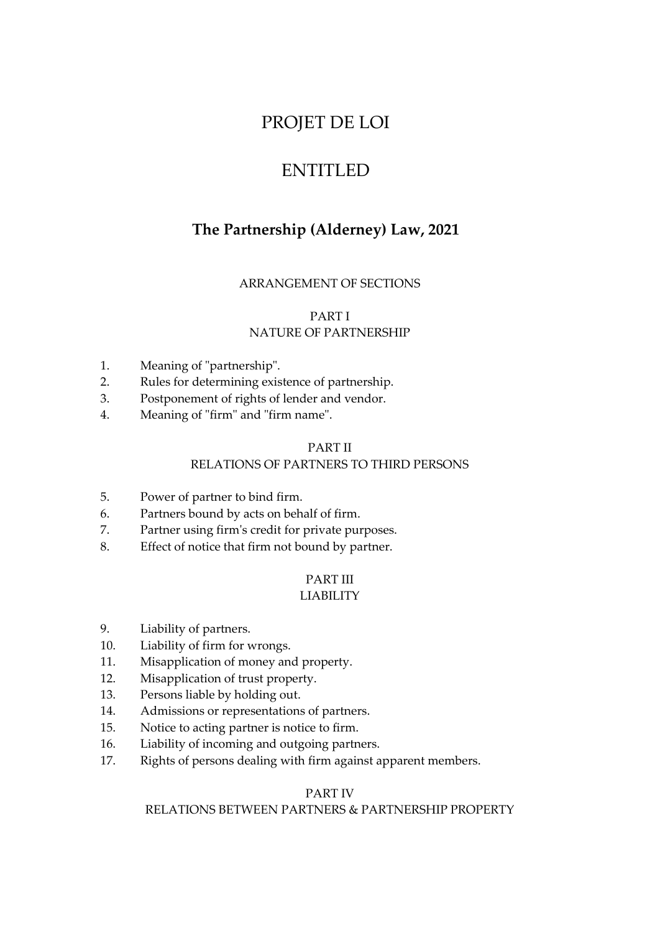# PROJET DE LOI

# ENTITLED

# **The Partnership (Alderney) Law, 2021**

# ARRANGEMENT OF SECTIONS

# PART I

# NATURE OF PARTNERSHIP

- 1. Meaning of "partnership".
- 2. Rules for determining existence of partnership.
- 3. Postponement of rights of lender and vendor.
- 4. Meaning of "firm" and "firm name".

## PART II

# RELATIONS OF PARTNERS TO THIRD PERSONS

- 5. Power of partner to bind firm.
- 6. Partners bound by acts on behalf of firm.
- 7. Partner using firm's credit for private purposes.
- 8. Effect of notice that firm not bound by partner.

## PART III LIABILITY

- 9. Liability of partners.
- 10. Liability of firm for wrongs.
- 11. Misapplication of money and property.
- 12. Misapplication of trust property.
- 13. Persons liable by holding out.
- 14. Admissions or representations of partners.
- 15. Notice to acting partner is notice to firm.
- 16. Liability of incoming and outgoing partners.
- 17. Rights of persons dealing with firm against apparent members.

# PART IV

# RELATIONS BETWEEN PARTNERS & PARTNERSHIP PROPERTY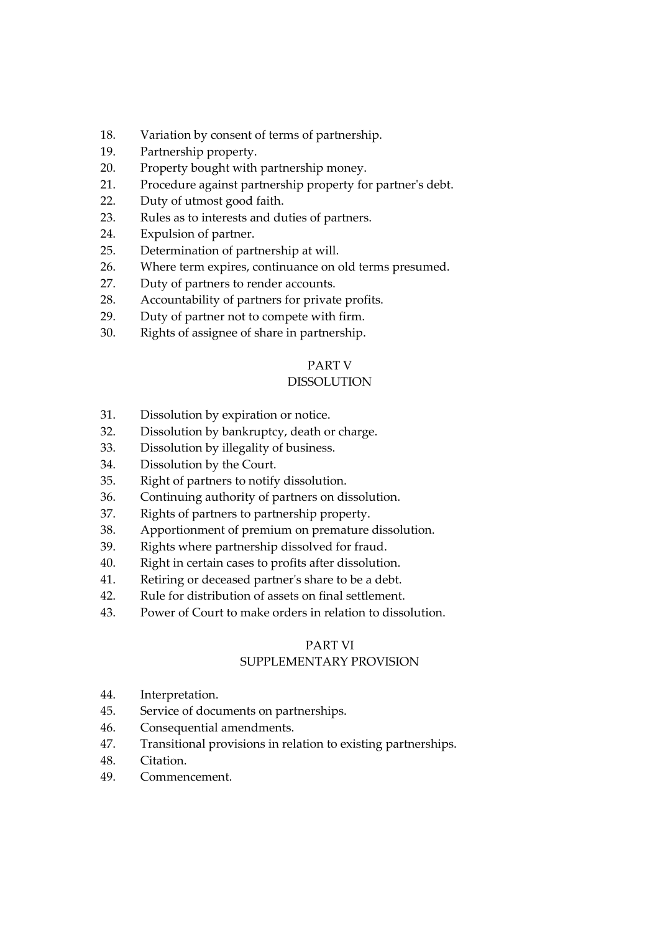- 18. Variation by consent of terms of partnership.
- 19. Partnership property.
- 20. Property bought with partnership money.
- 21. Procedure against partnership property for partner's debt.
- 22. Duty of utmost good faith.
- 23. Rules as to interests and duties of partners.
- 24. Expulsion of partner.
- 25. Determination of partnership at will.
- 26. Where term expires, continuance on old terms presumed.
- 27. Duty of partners to render accounts.
- 28. Accountability of partners for private profits.
- 29. Duty of partner not to compete with firm.
- 30. Rights of assignee of share in partnership.

# PART V

# DISSOLUTION

- 31. Dissolution by expiration or notice.
- 32. Dissolution by bankruptcy, death or charge.
- 33. Dissolution by illegality of business.
- 34. Dissolution by the Court.
- 35. Right of partners to notify dissolution.
- 36. Continuing authority of partners on dissolution.
- 37. Rights of partners to partnership property.
- 38. Apportionment of premium on premature dissolution.
- 39. Rights where partnership dissolved for fraud.
- 40. Right in certain cases to profits after dissolution.
- 41. Retiring or deceased partner's share to be a debt.
- 42. Rule for distribution of assets on final settlement.
- 43. Power of Court to make orders in relation to dissolution.

# PART VI

# SUPPLEMENTARY PROVISION

- 44. Interpretation.
- 45. Service of documents on partnerships.
- 46. Consequential amendments.
- 47. Transitional provisions in relation to existing partnerships.
- 48. Citation.
- 49. Commencement.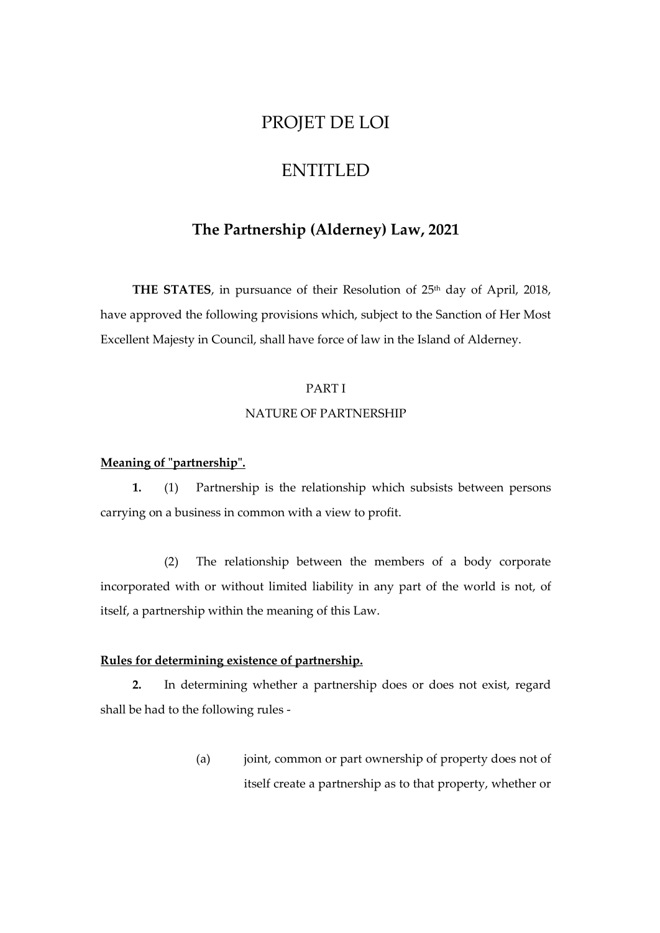# PROJET DE LOI

# ENTITLED

# **The Partnership (Alderney) Law, 2021**

THE STATES, in pursuance of their Resolution of 25<sup>th</sup> day of April, 2018, have approved the following provisions which, subject to the Sanction of Her Most Excellent Majesty in Council, shall have force of law in the Island of Alderney.

# PART I

#### NATURE OF PARTNERSHIP

## **Meaning of "partnership".**

**1.** (1) Partnership is the relationship which subsists between persons carrying on a business in common with a view to profit.

(2) The relationship between the members of a body corporate incorporated with or without limited liability in any part of the world is not, of itself, a partnership within the meaning of this Law.

# **Rules for determining existence of partnership.**

**2.** In determining whether a partnership does or does not exist, regard shall be had to the following rules -

> (a) joint, common or part ownership of property does not of itself create a partnership as to that property, whether or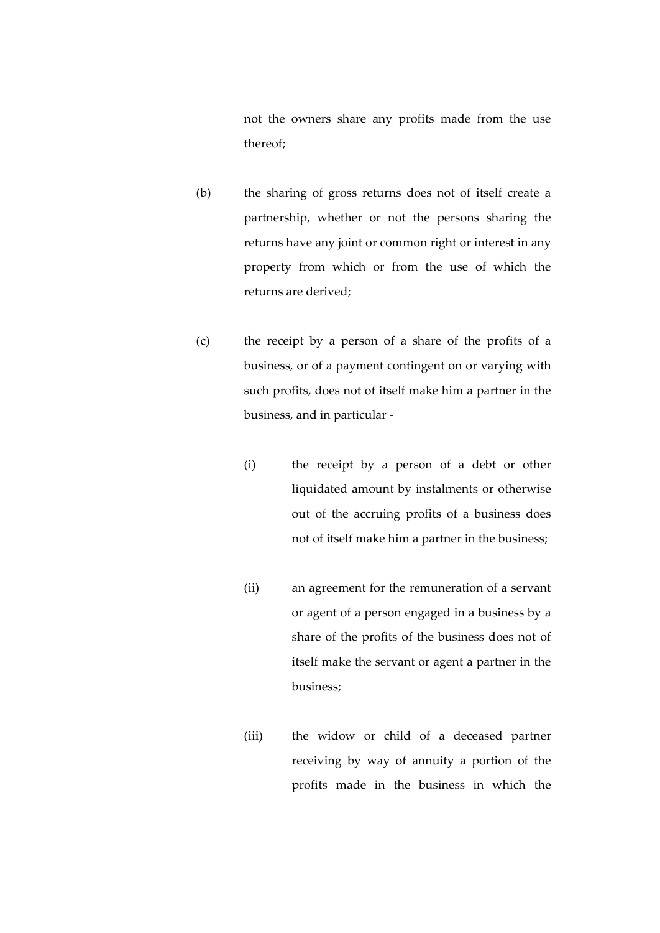not the owners share any profits made from the use thereof;

- (b) the sharing of gross returns does not of itself create a partnership, whether or not the persons sharing the returns have any joint or common right or interest in any property from which or from the use of which the returns are derived;
- (c) the receipt by a person of a share of the profits of a business, or of a payment contingent on or varying with such profits, does not of itself make him a partner in the business, and in particular -
	- (i) the receipt by a person of a debt or other liquidated amount by instalments or otherwise out of the accruing profits of a business does not of itself make him a partner in the business;
	- (ii) an agreement for the remuneration of a servant or agent of a person engaged in a business by a share of the profits of the business does not of itself make the servant or agent a partner in the business;
	- (iii) the widow or child of a deceased partner receiving by way of annuity a portion of the profits made in the business in which the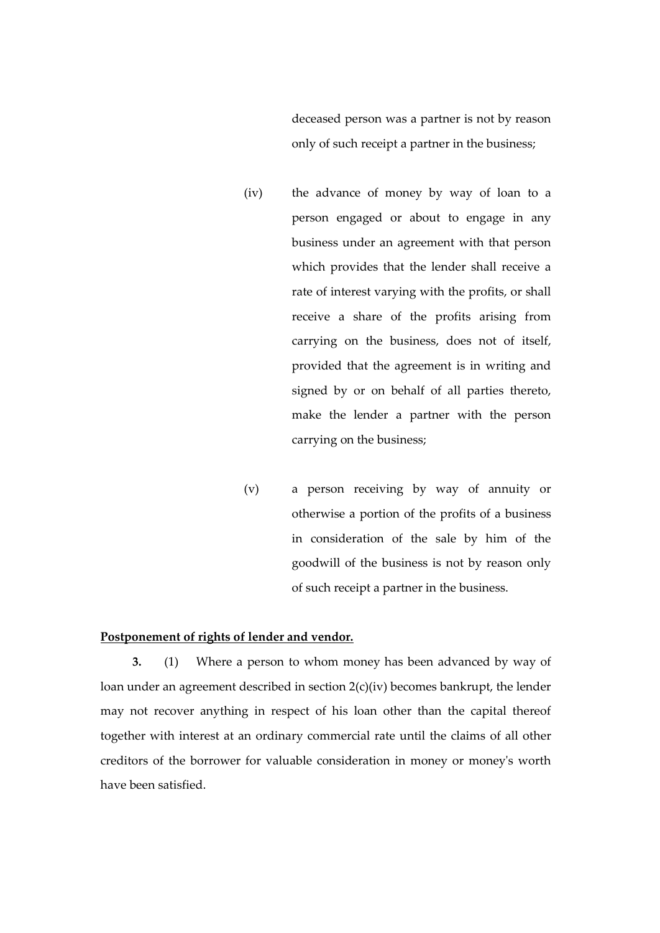deceased person was a partner is not by reason only of such receipt a partner in the business;

- (iv) the advance of money by way of loan to a person engaged or about to engage in any business under an agreement with that person which provides that the lender shall receive a rate of interest varying with the profits, or shall receive a share of the profits arising from carrying on the business, does not of itself, provided that the agreement is in writing and signed by or on behalf of all parties thereto, make the lender a partner with the person carrying on the business;
- (v) a person receiving by way of annuity or otherwise a portion of the profits of a business in consideration of the sale by him of the goodwill of the business is not by reason only of such receipt a partner in the business.

## **Postponement of rights of lender and vendor.**

**3.** (1) Where a person to whom money has been advanced by way of loan under an agreement described in section 2(c)(iv) becomes bankrupt, the lender may not recover anything in respect of his loan other than the capital thereof together with interest at an ordinary commercial rate until the claims of all other creditors of the borrower for valuable consideration in money or money's worth have been satisfied.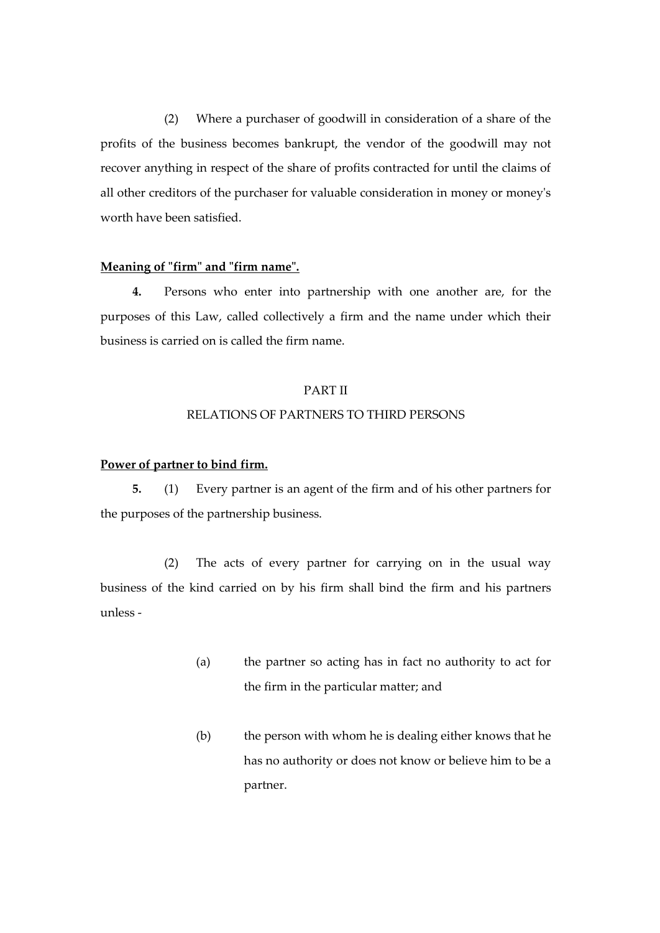(2) Where a purchaser of goodwill in consideration of a share of the profits of the business becomes bankrupt, the vendor of the goodwill may not recover anything in respect of the share of profits contracted for until the claims of all other creditors of the purchaser for valuable consideration in money or money's worth have been satisfied.

#### **Meaning of "firm" and "firm name".**

**4.** Persons who enter into partnership with one another are, for the purposes of this Law, called collectively a firm and the name under which their business is carried on is called the firm name.

#### PART II

## RELATIONS OF PARTNERS TO THIRD PERSONS

## **Power of partner to bind firm.**

**5.** (1) Every partner is an agent of the firm and of his other partners for the purposes of the partnership business.

(2) The acts of every partner for carrying on in the usual way business of the kind carried on by his firm shall bind the firm and his partners unless -

- (a) the partner so acting has in fact no authority to act for the firm in the particular matter; and
- (b) the person with whom he is dealing either knows that he has no authority or does not know or believe him to be a partner.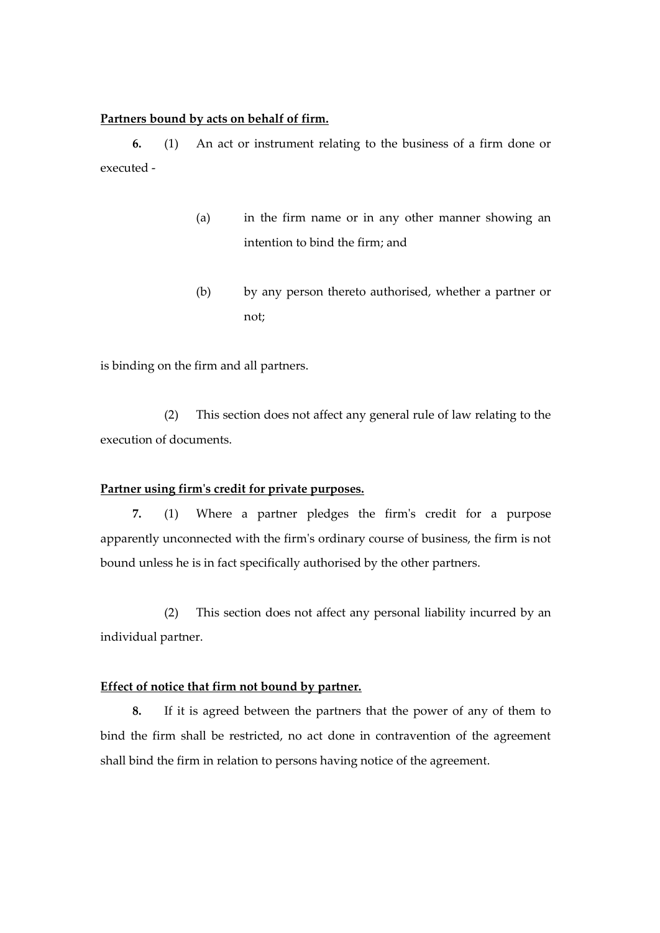#### **Partners bound by acts on behalf of firm.**

**6.** (1) An act or instrument relating to the business of a firm done or executed -

- (a) in the firm name or in any other manner showing an intention to bind the firm; and
- (b) by any person thereto authorised, whether a partner or not;

is binding on the firm and all partners.

(2) This section does not affect any general rule of law relating to the execution of documents.

## **Partner using firm's credit for private purposes.**

**7.** (1) Where a partner pledges the firm's credit for a purpose apparently unconnected with the firm's ordinary course of business, the firm is not bound unless he is in fact specifically authorised by the other partners.

(2) This section does not affect any personal liability incurred by an individual partner.

# **Effect of notice that firm not bound by partner.**

**8.** If it is agreed between the partners that the power of any of them to bind the firm shall be restricted, no act done in contravention of the agreement shall bind the firm in relation to persons having notice of the agreement.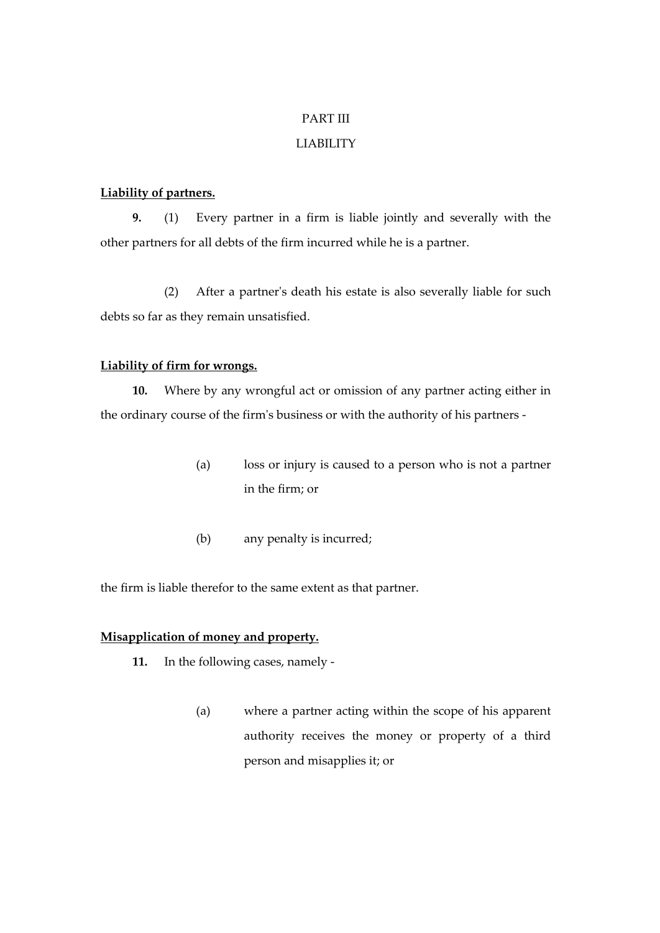# PART III

## LIABILITY

## **Liability of partners.**

**9.** (1) Every partner in a firm is liable jointly and severally with the other partners for all debts of the firm incurred while he is a partner.

(2) After a partner's death his estate is also severally liable for such debts so far as they remain unsatisfied.

#### **Liability of firm for wrongs.**

**10.** Where by any wrongful act or omission of any partner acting either in the ordinary course of the firm's business or with the authority of his partners -

- (a) loss or injury is caused to a person who is not a partner in the firm; or
- (b) any penalty is incurred;

the firm is liable therefor to the same extent as that partner.

# **Misapplication of money and property.**

- **11.** In the following cases, namely
	- (a) where a partner acting within the scope of his apparent authority receives the money or property of a third person and misapplies it; or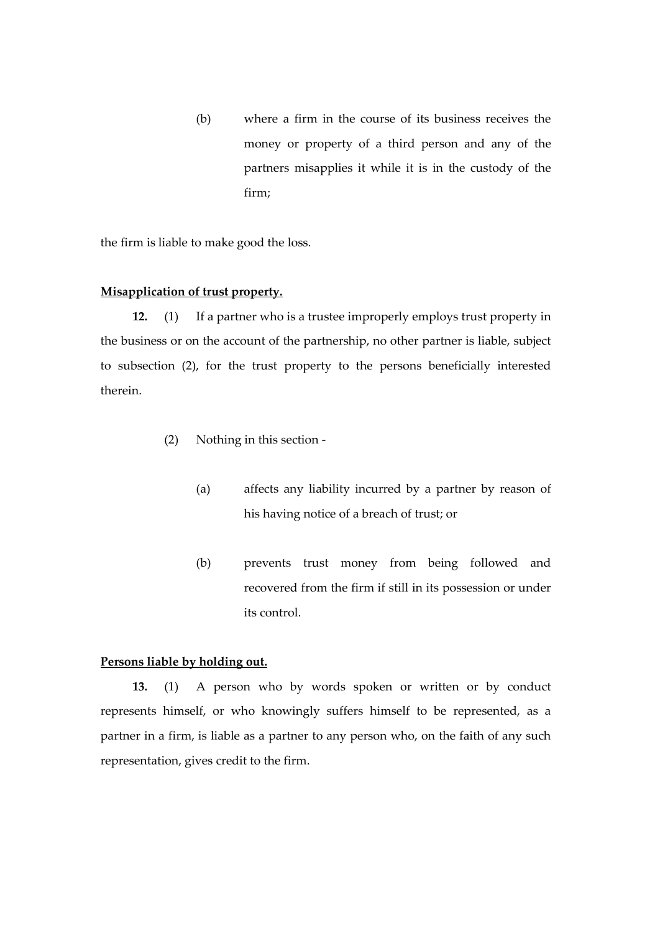(b) where a firm in the course of its business receives the money or property of a third person and any of the partners misapplies it while it is in the custody of the firm;

the firm is liable to make good the loss.

#### **Misapplication of trust property.**

**12.** (1) If a partner who is a trustee improperly employs trust property in the business or on the account of the partnership, no other partner is liable, subject to subsection (2), for the trust property to the persons beneficially interested therein.

- (2) Nothing in this section
	- (a) affects any liability incurred by a partner by reason of his having notice of a breach of trust; or
	- (b) prevents trust money from being followed and recovered from the firm if still in its possession or under its control.

#### **Persons liable by holding out.**

**13.** (1) A person who by words spoken or written or by conduct represents himself, or who knowingly suffers himself to be represented, as a partner in a firm, is liable as a partner to any person who, on the faith of any such representation, gives credit to the firm.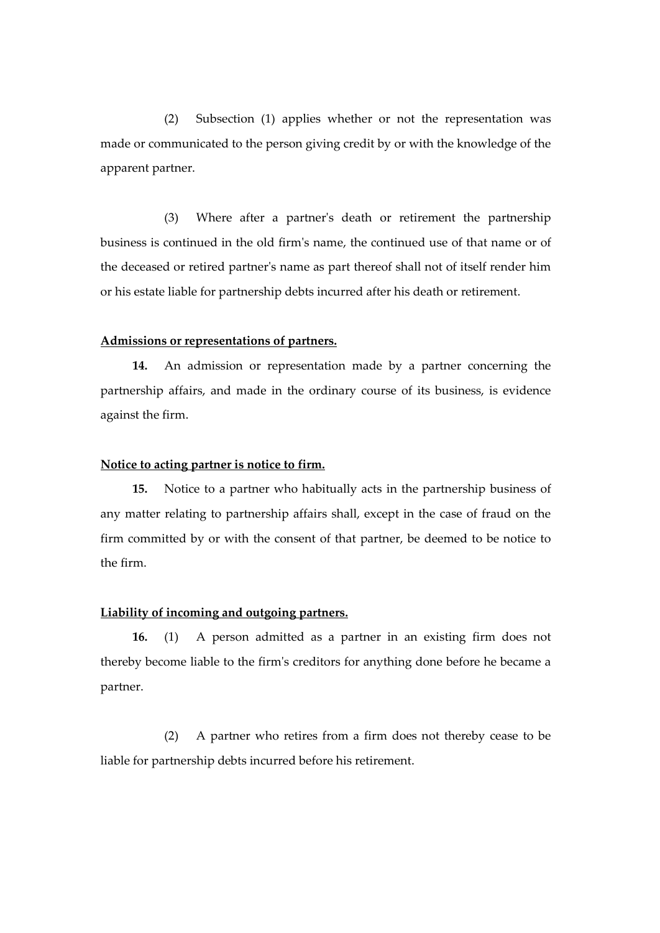(2) Subsection (1) applies whether or not the representation was made or communicated to the person giving credit by or with the knowledge of the apparent partner.

(3) Where after a partner's death or retirement the partnership business is continued in the old firm's name, the continued use of that name or of the deceased or retired partner's name as part thereof shall not of itself render him or his estate liable for partnership debts incurred after his death or retirement.

#### **Admissions or representations of partners.**

**14.** An admission or representation made by a partner concerning the partnership affairs, and made in the ordinary course of its business, is evidence against the firm.

#### **Notice to acting partner is notice to firm.**

**15.** Notice to a partner who habitually acts in the partnership business of any matter relating to partnership affairs shall, except in the case of fraud on the firm committed by or with the consent of that partner, be deemed to be notice to the firm.

#### **Liability of incoming and outgoing partners.**

**16.** (1) A person admitted as a partner in an existing firm does not thereby become liable to the firm's creditors for anything done before he became a partner.

(2) A partner who retires from a firm does not thereby cease to be liable for partnership debts incurred before his retirement.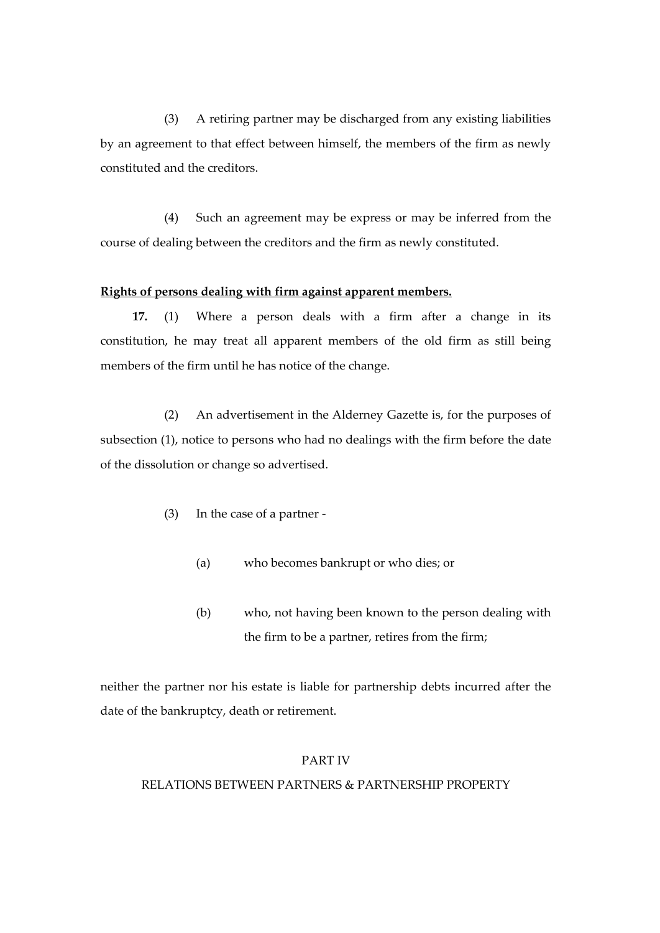(3) A retiring partner may be discharged from any existing liabilities by an agreement to that effect between himself, the members of the firm as newly constituted and the creditors.

(4) Such an agreement may be express or may be inferred from the course of dealing between the creditors and the firm as newly constituted.

## **Rights of persons dealing with firm against apparent members.**

**17.** (1) Where a person deals with a firm after a change in its constitution, he may treat all apparent members of the old firm as still being members of the firm until he has notice of the change.

(2) An advertisement in the Alderney Gazette is, for the purposes of subsection (1), notice to persons who had no dealings with the firm before the date of the dissolution or change so advertised.

- (3) In the case of a partner
	- (a) who becomes bankrupt or who dies; or
	- (b) who, not having been known to the person dealing with the firm to be a partner, retires from the firm;

neither the partner nor his estate is liable for partnership debts incurred after the date of the bankruptcy, death or retirement.

#### PART IV

## RELATIONS BETWEEN PARTNERS & PARTNERSHIP PROPERTY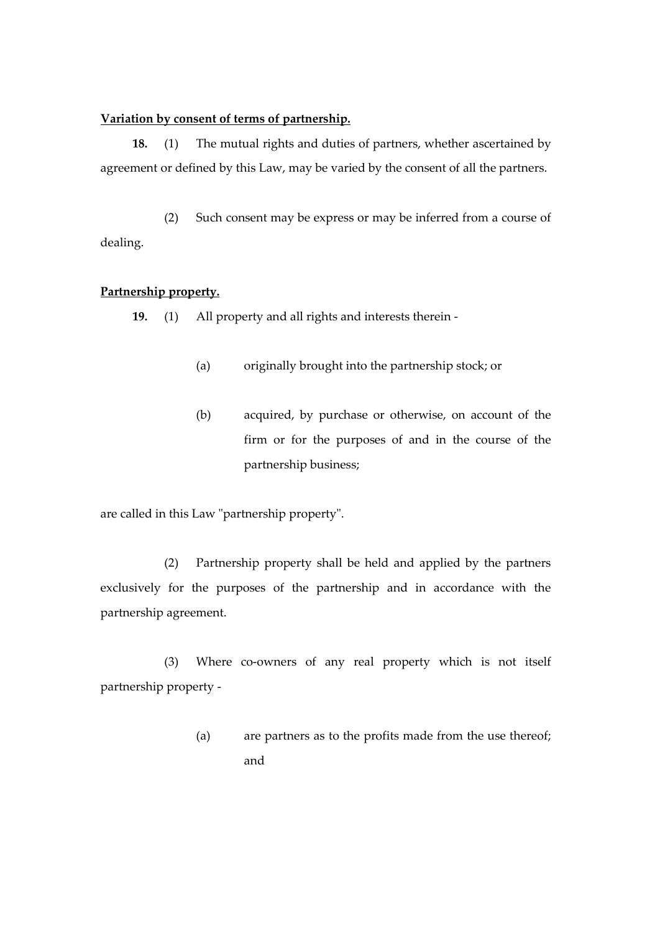#### **Variation by consent of terms of partnership.**

**18.** (1) The mutual rights and duties of partners, whether ascertained by agreement or defined by this Law, may be varied by the consent of all the partners.

(2) Such consent may be express or may be inferred from a course of dealing.

# **Partnership property.**

**19.** (1) All property and all rights and interests therein -

- (a) originally brought into the partnership stock; or
- (b) acquired, by purchase or otherwise, on account of the firm or for the purposes of and in the course of the partnership business;

are called in this Law "partnership property".

(2) Partnership property shall be held and applied by the partners exclusively for the purposes of the partnership and in accordance with the partnership agreement.

(3) Where co-owners of any real property which is not itself partnership property -

> (a) are partners as to the profits made from the use thereof; and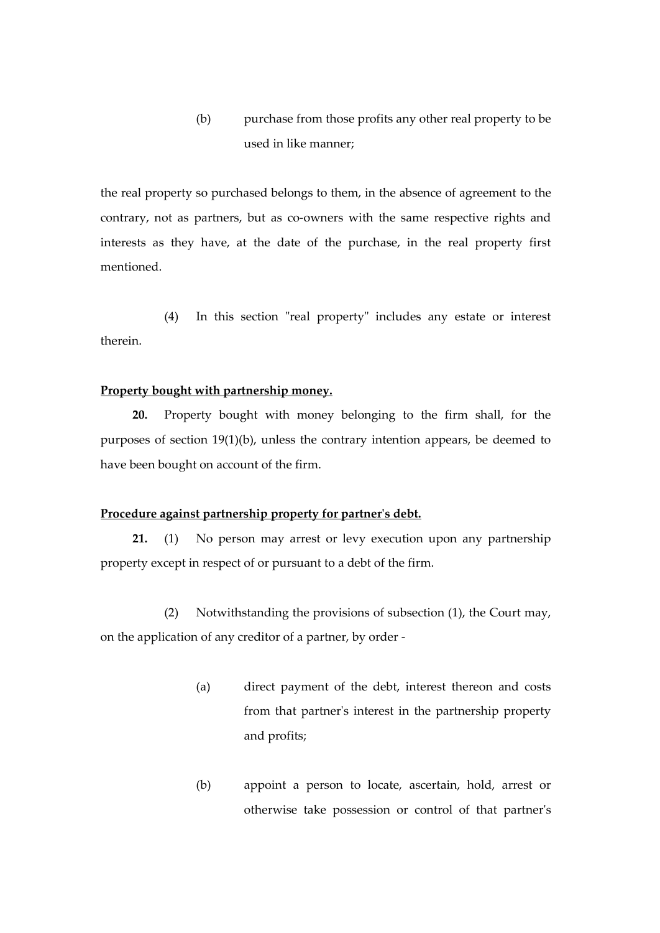(b) purchase from those profits any other real property to be used in like manner;

the real property so purchased belongs to them, in the absence of agreement to the contrary, not as partners, but as co-owners with the same respective rights and interests as they have, at the date of the purchase, in the real property first mentioned.

(4) In this section "real property" includes any estate or interest therein.

## **Property bought with partnership money.**

**20.** Property bought with money belonging to the firm shall, for the purposes of section 19(1)(b), unless the contrary intention appears, be deemed to have been bought on account of the firm.

#### **Procedure against partnership property for partner's debt.**

**21.** (1) No person may arrest or levy execution upon any partnership property except in respect of or pursuant to a debt of the firm.

(2) Notwithstanding the provisions of subsection (1), the Court may, on the application of any creditor of a partner, by order -

- (a) direct payment of the debt, interest thereon and costs from that partner's interest in the partnership property and profits;
- (b) appoint a person to locate, ascertain, hold, arrest or otherwise take possession or control of that partner's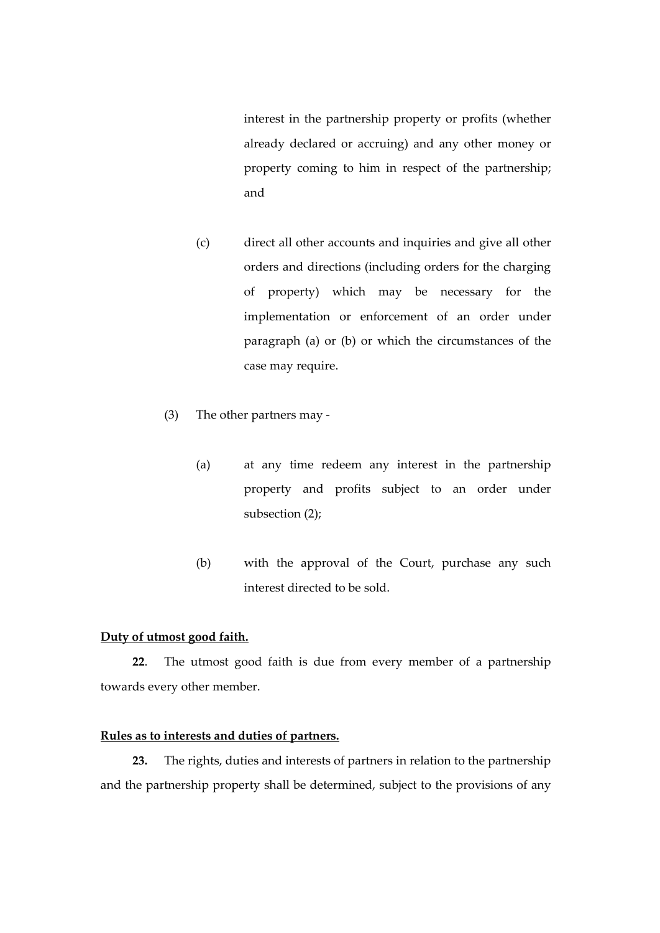interest in the partnership property or profits (whether already declared or accruing) and any other money or property coming to him in respect of the partnership; and

- (c) direct all other accounts and inquiries and give all other orders and directions (including orders for the charging of property) which may be necessary for the implementation or enforcement of an order under paragraph (a) or (b) or which the circumstances of the case may require.
- (3) The other partners may
	- (a) at any time redeem any interest in the partnership property and profits subject to an order under subsection (2);
	- (b) with the approval of the Court, purchase any such interest directed to be sold.

# **Duty of utmost good faith.**

**22**. The utmost good faith is due from every member of a partnership towards every other member.

# **Rules as to interests and duties of partners.**

**23.** The rights, duties and interests of partners in relation to the partnership and the partnership property shall be determined, subject to the provisions of any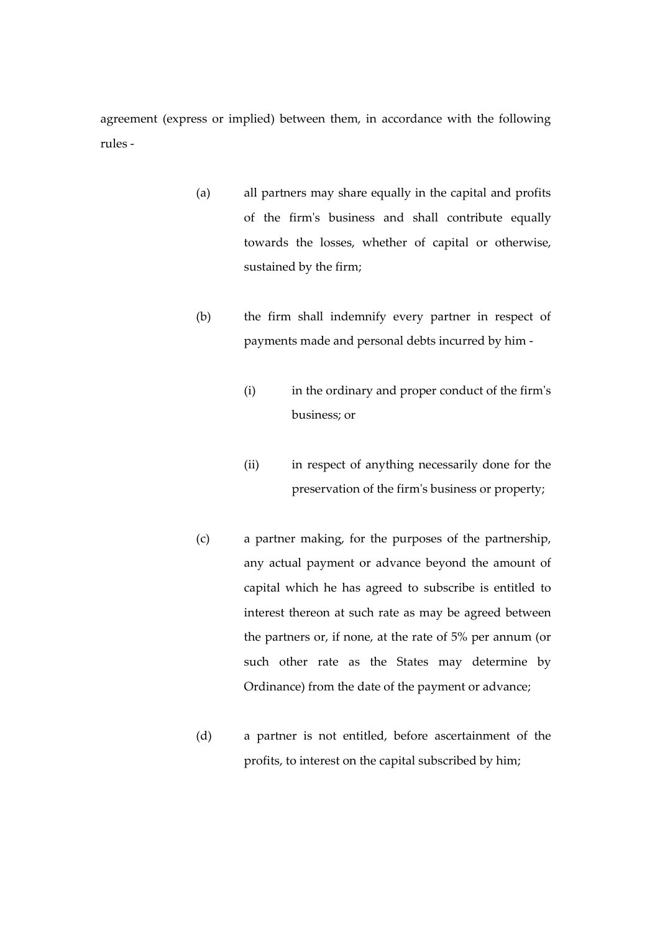agreement (express or implied) between them, in accordance with the following rules -

- (a) all partners may share equally in the capital and profits of the firm's business and shall contribute equally towards the losses, whether of capital or otherwise, sustained by the firm;
- (b) the firm shall indemnify every partner in respect of payments made and personal debts incurred by him -
	- (i) in the ordinary and proper conduct of the firm's business; or
	- (ii) in respect of anything necessarily done for the preservation of the firm's business or property;
- (c) a partner making, for the purposes of the partnership, any actual payment or advance beyond the amount of capital which he has agreed to subscribe is entitled to interest thereon at such rate as may be agreed between the partners or, if none, at the rate of 5% per annum (or such other rate as the States may determine by Ordinance) from the date of the payment or advance;
- (d) a partner is not entitled, before ascertainment of the profits, to interest on the capital subscribed by him;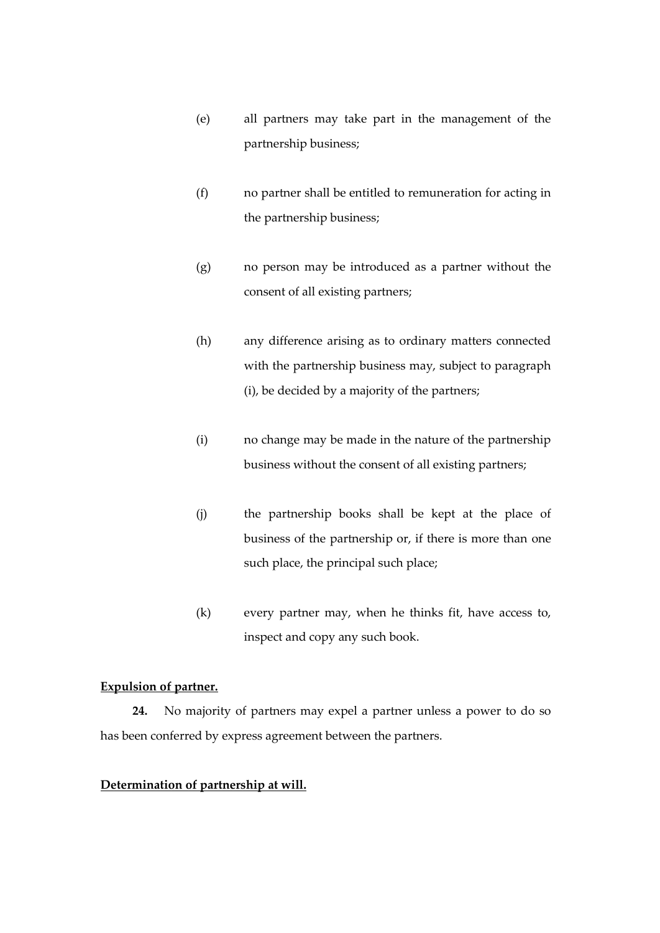- (e) all partners may take part in the management of the partnership business;
- (f) no partner shall be entitled to remuneration for acting in the partnership business;
- (g) no person may be introduced as a partner without the consent of all existing partners;
- (h) any difference arising as to ordinary matters connected with the partnership business may, subject to paragraph (i), be decided by a majority of the partners;
- (i) no change may be made in the nature of the partnership business without the consent of all existing partners;
- (j) the partnership books shall be kept at the place of business of the partnership or, if there is more than one such place, the principal such place;
- (k) every partner may, when he thinks fit, have access to, inspect and copy any such book.

# **Expulsion of partner.**

**24.** No majority of partners may expel a partner unless a power to do so has been conferred by express agreement between the partners.

# **Determination of partnership at will.**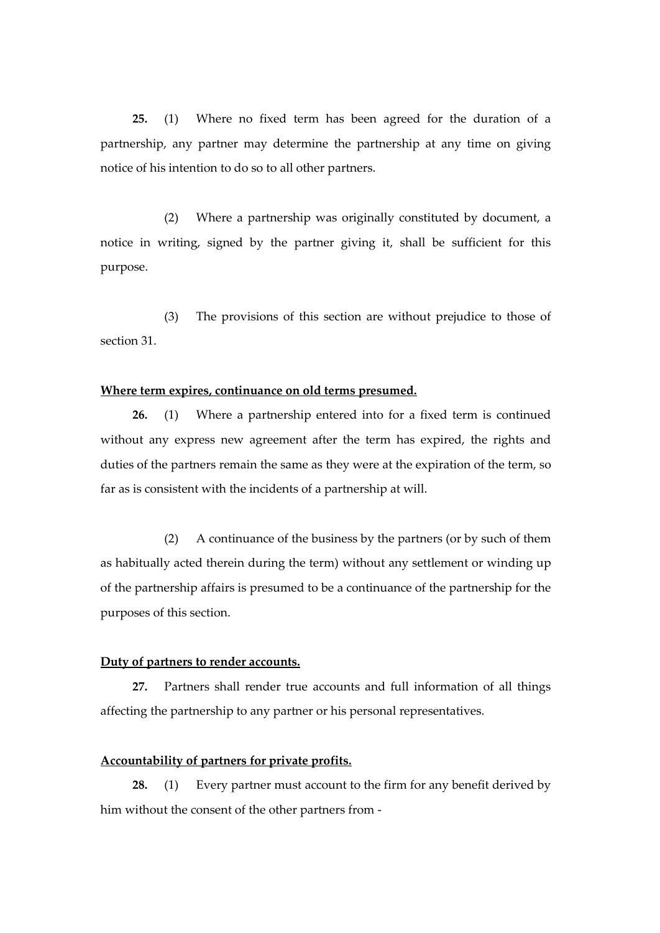**25.** (1) Where no fixed term has been agreed for the duration of a partnership, any partner may determine the partnership at any time on giving notice of his intention to do so to all other partners.

(2) Where a partnership was originally constituted by document, a notice in writing, signed by the partner giving it, shall be sufficient for this purpose.

(3) The provisions of this section are without prejudice to those of section 31.

#### **Where term expires, continuance on old terms presumed.**

**26.** (1) Where a partnership entered into for a fixed term is continued without any express new agreement after the term has expired, the rights and duties of the partners remain the same as they were at the expiration of the term, so far as is consistent with the incidents of a partnership at will.

(2) A continuance of the business by the partners (or by such of them as habitually acted therein during the term) without any settlement or winding up of the partnership affairs is presumed to be a continuance of the partnership for the purposes of this section.

#### **Duty of partners to render accounts.**

**27.** Partners shall render true accounts and full information of all things affecting the partnership to any partner or his personal representatives.

## **Accountability of partners for private profits.**

**28.** (1) Every partner must account to the firm for any benefit derived by him without the consent of the other partners from -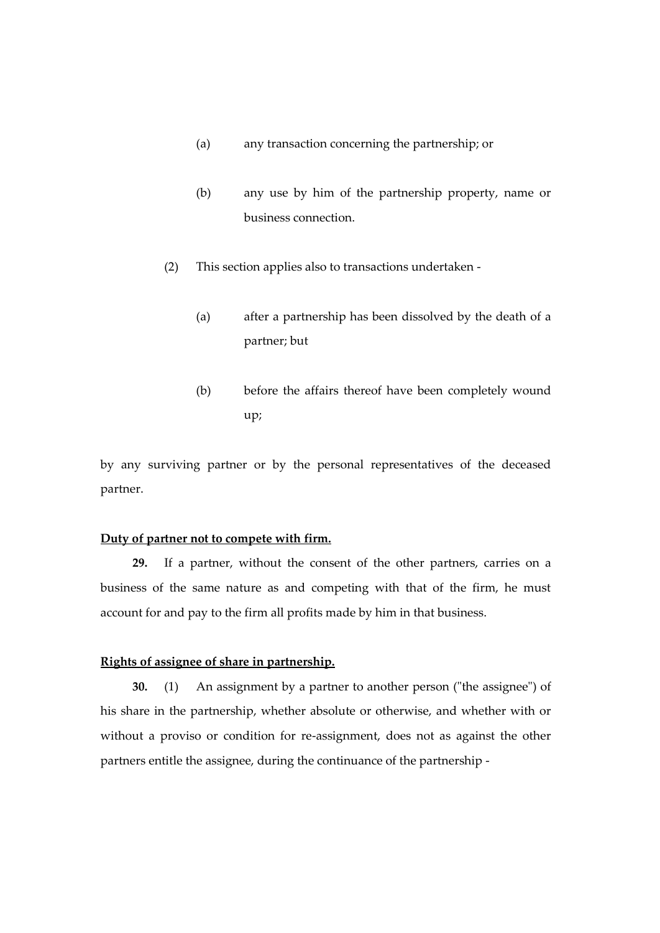- (a) any transaction concerning the partnership; or
- (b) any use by him of the partnership property, name or business connection.
- (2) This section applies also to transactions undertaken
	- (a) after a partnership has been dissolved by the death of a partner; but
	- (b) before the affairs thereof have been completely wound up;

by any surviving partner or by the personal representatives of the deceased partner.

# **Duty of partner not to compete with firm.**

**29.** If a partner, without the consent of the other partners, carries on a business of the same nature as and competing with that of the firm, he must account for and pay to the firm all profits made by him in that business.

## **Rights of assignee of share in partnership.**

**30.** (1) An assignment by a partner to another person ("the assignee") of his share in the partnership, whether absolute or otherwise, and whether with or without a proviso or condition for re-assignment, does not as against the other partners entitle the assignee, during the continuance of the partnership -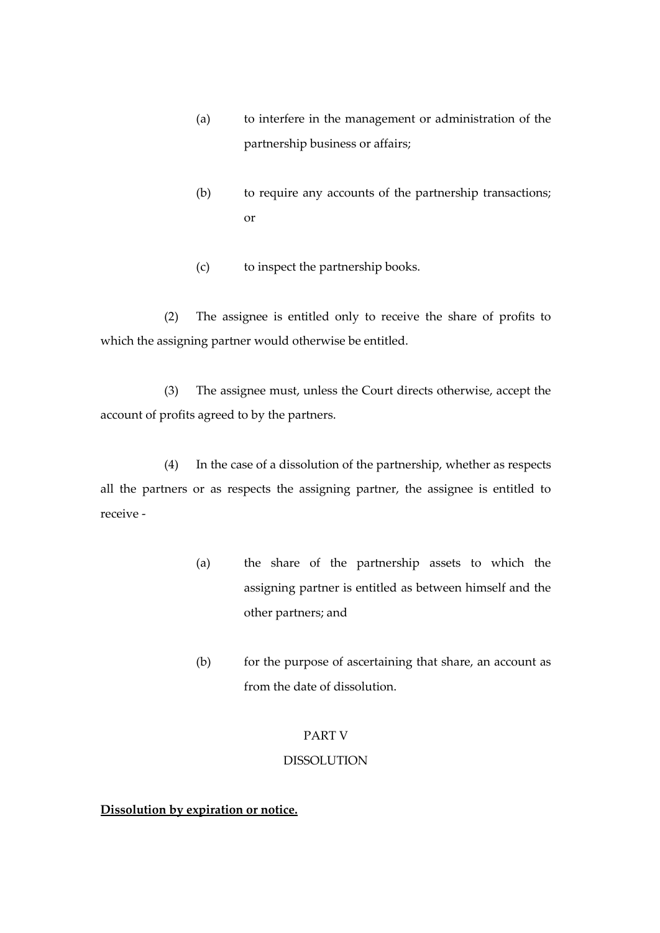- (a) to interfere in the management or administration of the partnership business or affairs;
- (b) to require any accounts of the partnership transactions; or
- (c) to inspect the partnership books.

(2) The assignee is entitled only to receive the share of profits to which the assigning partner would otherwise be entitled.

(3) The assignee must, unless the Court directs otherwise, accept the account of profits agreed to by the partners.

(4) In the case of a dissolution of the partnership, whether as respects all the partners or as respects the assigning partner, the assignee is entitled to receive -

- (a) the share of the partnership assets to which the assigning partner is entitled as between himself and the other partners; and
- (b) for the purpose of ascertaining that share, an account as from the date of dissolution.

# PART V

### DISSOLUTION

# **Dissolution by expiration or notice.**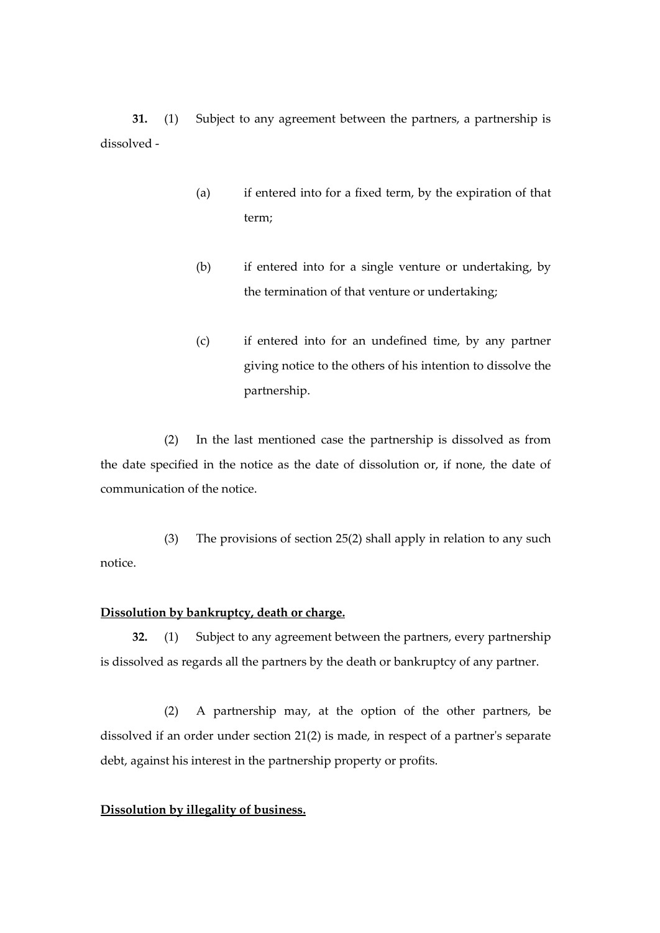**31.** (1) Subject to any agreement between the partners, a partnership is dissolved -

- (a) if entered into for a fixed term, by the expiration of that term;
- (b) if entered into for a single venture or undertaking, by the termination of that venture or undertaking;
- (c) if entered into for an undefined time, by any partner giving notice to the others of his intention to dissolve the partnership.

(2) In the last mentioned case the partnership is dissolved as from the date specified in the notice as the date of dissolution or, if none, the date of communication of the notice.

(3) The provisions of section 25(2) shall apply in relation to any such notice.

## **Dissolution by bankruptcy, death or charge.**

**32.** (1) Subject to any agreement between the partners, every partnership is dissolved as regards all the partners by the death or bankruptcy of any partner.

(2) A partnership may, at the option of the other partners, be dissolved if an order under section 21(2) is made, in respect of a partner's separate debt, against his interest in the partnership property or profits.

## **Dissolution by illegality of business.**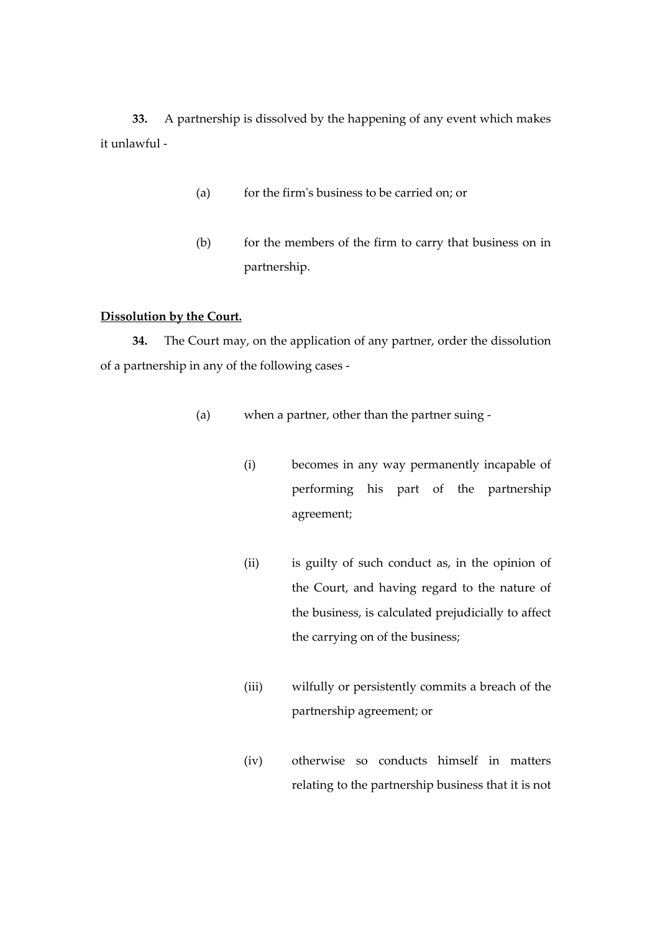**33.** A partnership is dissolved by the happening of any event which makes it unlawful -

- (a) for the firm's business to be carried on; or
- (b) for the members of the firm to carry that business on in partnership.

## **Dissolution by the Court.**

**34.** The Court may, on the application of any partner, order the dissolution of a partnership in any of the following cases -

- (a) when a partner, other than the partner suing
	- (i) becomes in any way permanently incapable of performing his part of the partnership agreement;
	- (ii) is guilty of such conduct as, in the opinion of the Court, and having regard to the nature of the business, is calculated prejudicially to affect the carrying on of the business;
	- (iii) wilfully or persistently commits a breach of the partnership agreement; or
	- (iv) otherwise so conducts himself in matters relating to the partnership business that it is not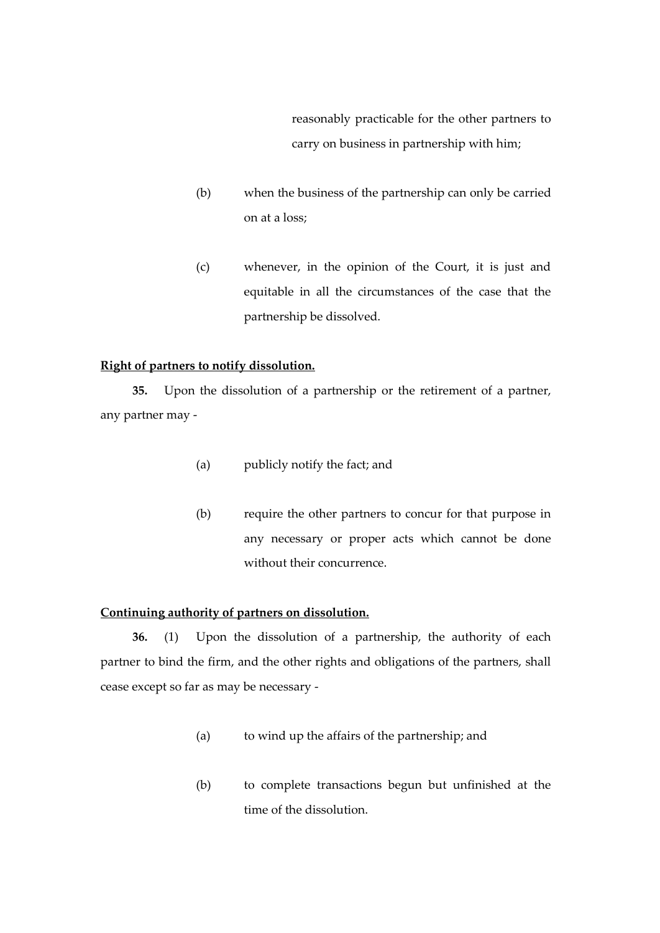reasonably practicable for the other partners to carry on business in partnership with him;

- (b) when the business of the partnership can only be carried on at a loss;
- (c) whenever, in the opinion of the Court, it is just and equitable in all the circumstances of the case that the partnership be dissolved.

### **Right of partners to notify dissolution.**

**35.** Upon the dissolution of a partnership or the retirement of a partner, any partner may -

- (a) publicly notify the fact; and
- (b) require the other partners to concur for that purpose in any necessary or proper acts which cannot be done without their concurrence.

## **Continuing authority of partners on dissolution.**

**36.** (1) Upon the dissolution of a partnership, the authority of each partner to bind the firm, and the other rights and obligations of the partners, shall cease except so far as may be necessary -

- (a) to wind up the affairs of the partnership; and
- (b) to complete transactions begun but unfinished at the time of the dissolution.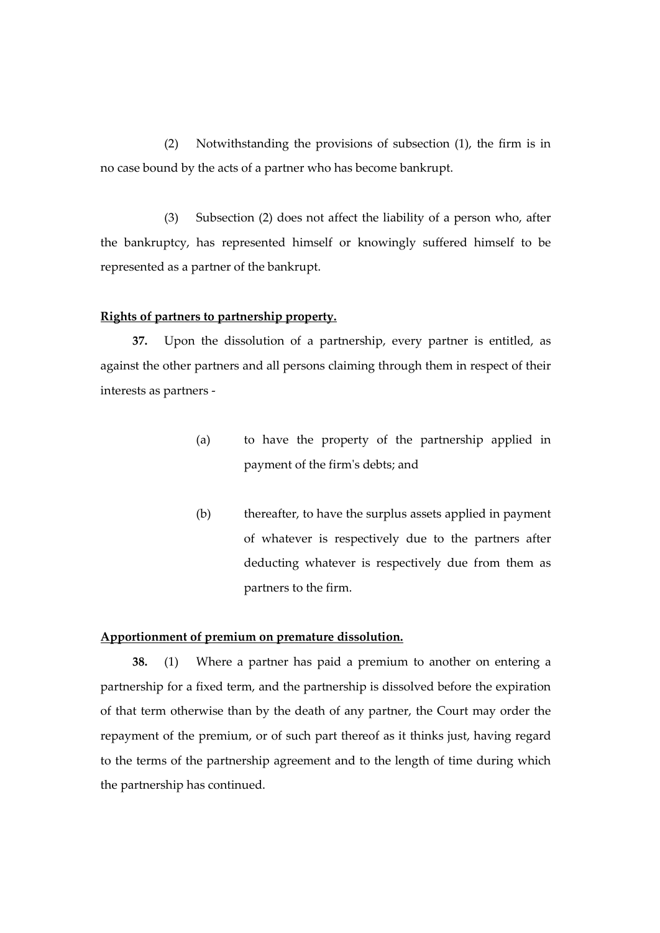(2) Notwithstanding the provisions of subsection (1), the firm is in no case bound by the acts of a partner who has become bankrupt.

(3) Subsection (2) does not affect the liability of a person who, after the bankruptcy, has represented himself or knowingly suffered himself to be represented as a partner of the bankrupt.

#### **Rights of partners to partnership property.**

**37.** Upon the dissolution of a partnership, every partner is entitled, as against the other partners and all persons claiming through them in respect of their interests as partners -

- (a) to have the property of the partnership applied in payment of the firm's debts; and
- (b) thereafter, to have the surplus assets applied in payment of whatever is respectively due to the partners after deducting whatever is respectively due from them as partners to the firm.

#### **Apportionment of premium on premature dissolution.**

**38.** (1) Where a partner has paid a premium to another on entering a partnership for a fixed term, and the partnership is dissolved before the expiration of that term otherwise than by the death of any partner, the Court may order the repayment of the premium, or of such part thereof as it thinks just, having regard to the terms of the partnership agreement and to the length of time during which the partnership has continued.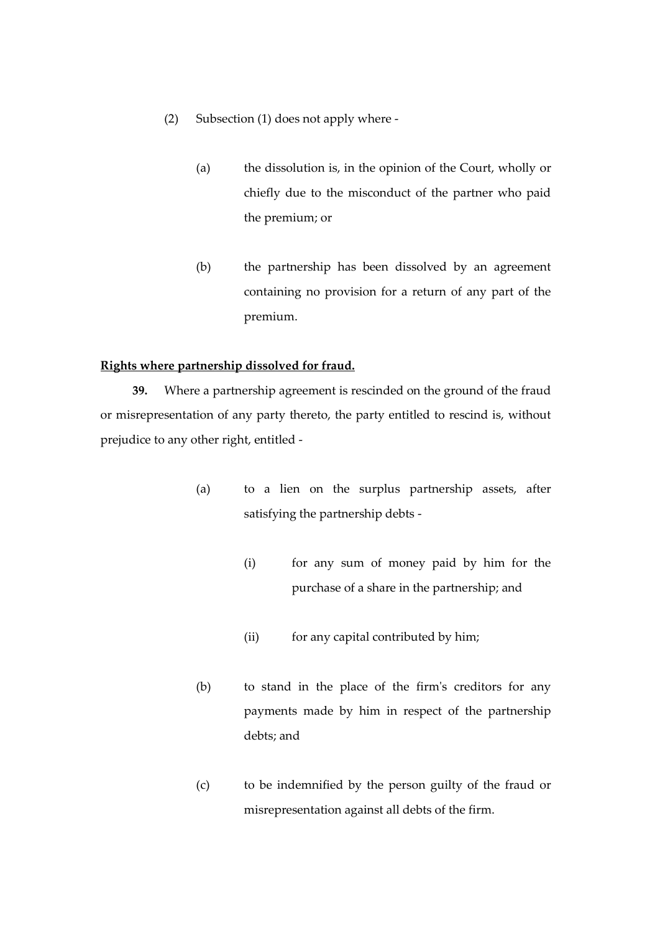- (2) Subsection (1) does not apply where
	- (a) the dissolution is, in the opinion of the Court, wholly or chiefly due to the misconduct of the partner who paid the premium; or
	- (b) the partnership has been dissolved by an agreement containing no provision for a return of any part of the premium.

## **Rights where partnership dissolved for fraud.**

**39.** Where a partnership agreement is rescinded on the ground of the fraud or misrepresentation of any party thereto, the party entitled to rescind is, without prejudice to any other right, entitled -

- (a) to a lien on the surplus partnership assets, after satisfying the partnership debts -
	- (i) for any sum of money paid by him for the purchase of a share in the partnership; and
	- (ii) for any capital contributed by him;
- (b) to stand in the place of the firm's creditors for any payments made by him in respect of the partnership debts; and
- (c) to be indemnified by the person guilty of the fraud or misrepresentation against all debts of the firm.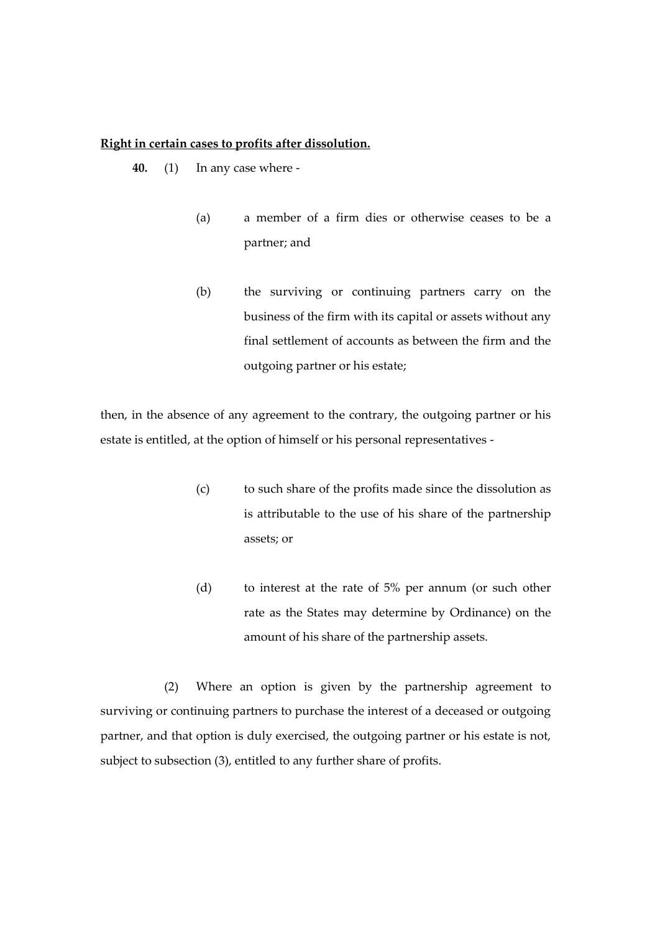#### **Right in certain cases to profits after dissolution.**

- **40.** (1) In any case where
	- (a) a member of a firm dies or otherwise ceases to be a partner; and
	- (b) the surviving or continuing partners carry on the business of the firm with its capital or assets without any final settlement of accounts as between the firm and the outgoing partner or his estate;

then, in the absence of any agreement to the contrary, the outgoing partner or his estate is entitled, at the option of himself or his personal representatives -

- (c) to such share of the profits made since the dissolution as is attributable to the use of his share of the partnership assets; or
- (d) to interest at the rate of 5% per annum (or such other rate as the States may determine by Ordinance) on the amount of his share of the partnership assets.

(2) Where an option is given by the partnership agreement to surviving or continuing partners to purchase the interest of a deceased or outgoing partner, and that option is duly exercised, the outgoing partner or his estate is not, subject to subsection (3), entitled to any further share of profits.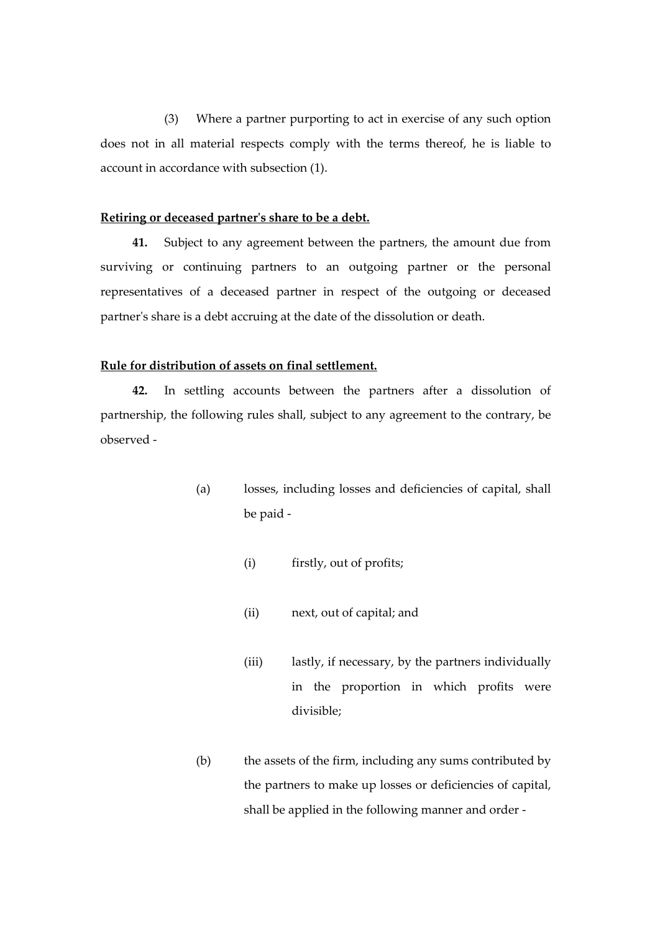(3) Where a partner purporting to act in exercise of any such option does not in all material respects comply with the terms thereof, he is liable to account in accordance with subsection (1).

#### **Retiring or deceased partner's share to be a debt.**

**41.** Subject to any agreement between the partners, the amount due from surviving or continuing partners to an outgoing partner or the personal representatives of a deceased partner in respect of the outgoing or deceased partner's share is a debt accruing at the date of the dissolution or death.

### **Rule for distribution of assets on final settlement.**

**42.** In settling accounts between the partners after a dissolution of partnership, the following rules shall, subject to any agreement to the contrary, be observed -

- (a) losses, including losses and deficiencies of capital, shall be paid -
	- (i) firstly, out of profits;
	- (ii) next, out of capital; and
	- (iii) lastly, if necessary, by the partners individually in the proportion in which profits were divisible;
- (b) the assets of the firm, including any sums contributed by the partners to make up losses or deficiencies of capital, shall be applied in the following manner and order -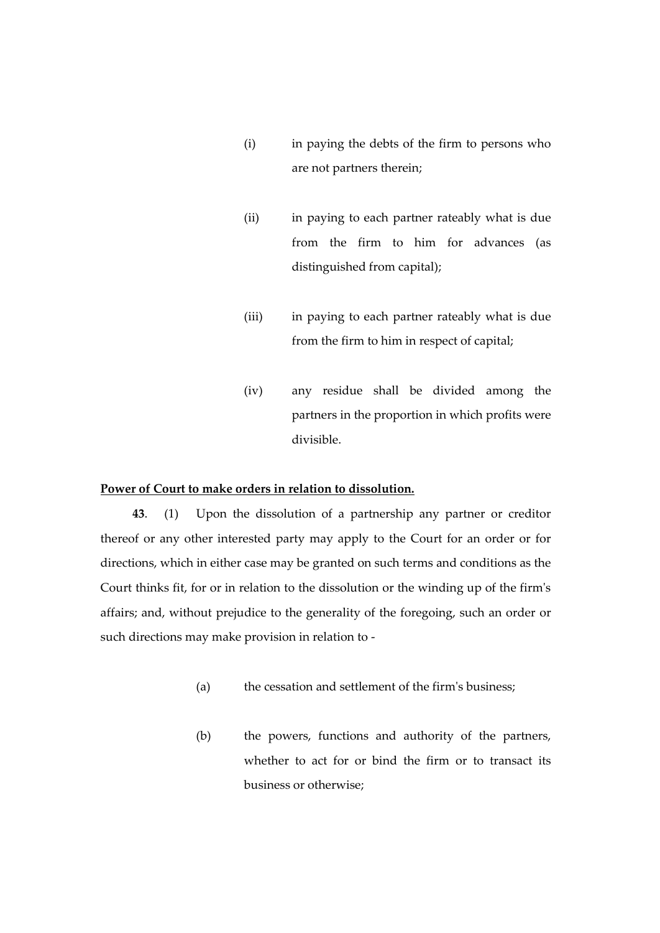- (i) in paying the debts of the firm to persons who are not partners therein;
- (ii) in paying to each partner rateably what is due from the firm to him for advances (as distinguished from capital);
- (iii) in paying to each partner rateably what is due from the firm to him in respect of capital;
- (iv) any residue shall be divided among the partners in the proportion in which profits were divisible.

## **Power of Court to make orders in relation to dissolution.**

**43**. (1) Upon the dissolution of a partnership any partner or creditor thereof or any other interested party may apply to the Court for an order or for directions, which in either case may be granted on such terms and conditions as the Court thinks fit, for or in relation to the dissolution or the winding up of the firm's affairs; and, without prejudice to the generality of the foregoing, such an order or such directions may make provision in relation to -

- (a) the cessation and settlement of the firm's business;
- (b) the powers, functions and authority of the partners, whether to act for or bind the firm or to transact its business or otherwise;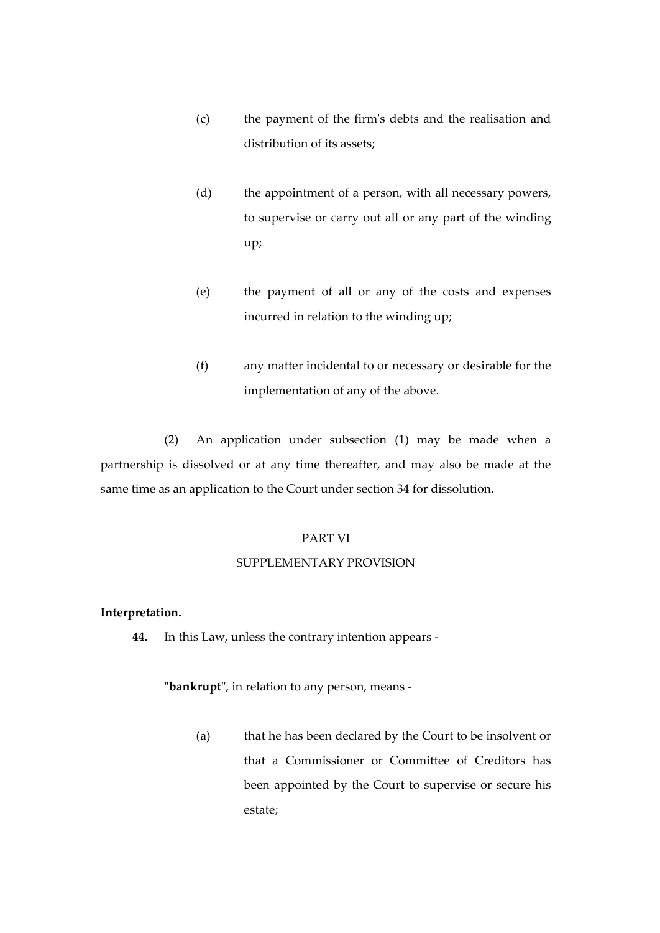- (c) the payment of the firm's debts and the realisation and distribution of its assets;
- (d) the appointment of a person, with all necessary powers, to supervise or carry out all or any part of the winding up;
- (e) the payment of all or any of the costs and expenses incurred in relation to the winding up;
- (f) any matter incidental to or necessary or desirable for the implementation of any of the above.

(2) An application under subsection (1) may be made when a partnership is dissolved or at any time thereafter, and may also be made at the same time as an application to the Court under section 34 for dissolution.

## PART VI

# SUPPLEMENTARY PROVISION

# **Interpretation.**

**44.** In this Law, unless the contrary intention appears -

**"bankrupt"**, in relation to any person, means -

(a) that he has been declared by the Court to be insolvent or that a Commissioner or Committee of Creditors has been appointed by the Court to supervise or secure his estate;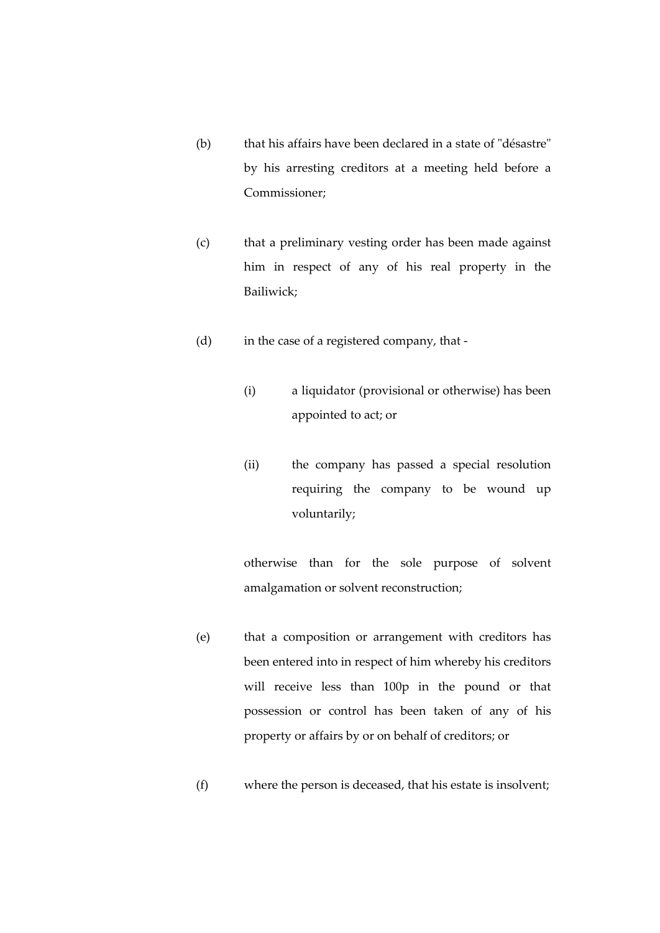- (b) that his affairs have been declared in a state of "désastre" by his arresting creditors at a meeting held before a Commissioner;
- (c) that a preliminary vesting order has been made against him in respect of any of his real property in the Bailiwick;
- (d) in the case of a registered company, that
	- (i) a liquidator (provisional or otherwise) has been appointed to act; or
	- (ii) the company has passed a special resolution requiring the company to be wound up voluntarily;

otherwise than for the sole purpose of solvent amalgamation or solvent reconstruction;

- (e) that a composition or arrangement with creditors has been entered into in respect of him whereby his creditors will receive less than 100p in the pound or that possession or control has been taken of any of his property or affairs by or on behalf of creditors; or
- (f) where the person is deceased, that his estate is insolvent;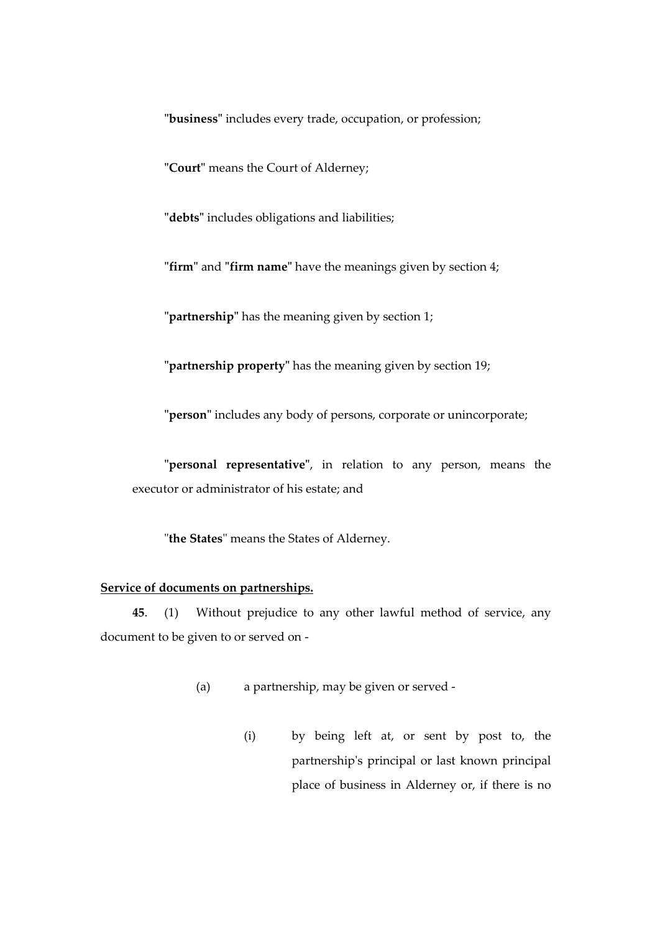**"business"** includes every trade, occupation, or profession;

**"Court"** means the Court of Alderney;

**"debts"** includes obligations and liabilities;

**"firm"** and **"firm name"** have the meanings given by section 4;

**"partnership"** has the meaning given by section 1;

**"partnership property"** has the meaning given by section 19;

**"person"** includes any body of persons, corporate or unincorporate;

**"personal representative"**, in relation to any person, means the executor or administrator of his estate; and

"**the States**" means the States of Alderney.

## **Service of documents on partnerships.**

**45**. (1) Without prejudice to any other lawful method of service, any document to be given to or served on -

- (a) a partnership, may be given or served
	- (i) by being left at, or sent by post to, the partnership's principal or last known principal place of business in Alderney or, if there is no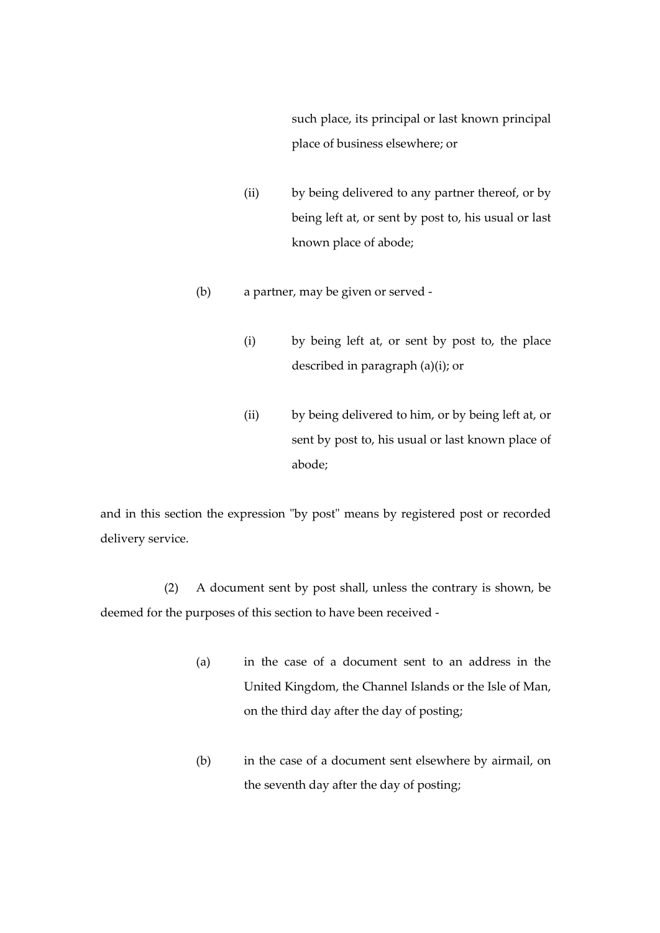such place, its principal or last known principal place of business elsewhere; or

- (ii) by being delivered to any partner thereof, or by being left at, or sent by post to, his usual or last known place of abode;
- (b) a partner, may be given or served
	- (i) by being left at, or sent by post to, the place described in paragraph (a)(i); or
	- (ii) by being delivered to him, or by being left at, or sent by post to, his usual or last known place of abode;

and in this section the expression "by post" means by registered post or recorded delivery service.

(2) A document sent by post shall, unless the contrary is shown, be deemed for the purposes of this section to have been received -

- (a) in the case of a document sent to an address in the United Kingdom, the Channel Islands or the Isle of Man, on the third day after the day of posting;
- (b) in the case of a document sent elsewhere by airmail, on the seventh day after the day of posting;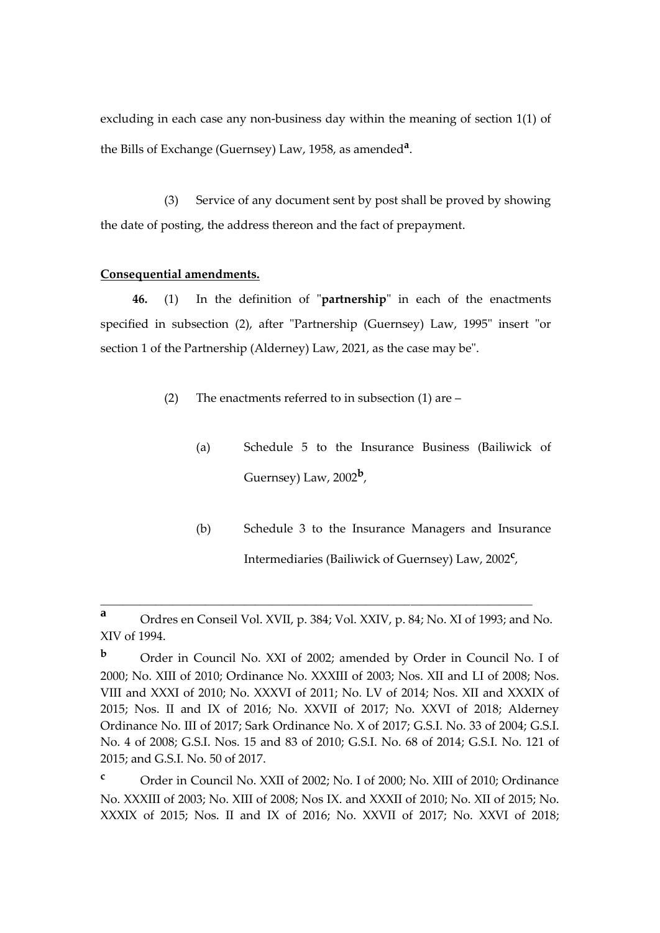excluding in each case any non-business day within the meaning of section 1(1) of the Bills of Exchange (Guernsey) Law, 1958, as amended**<sup>a</sup>** .

(3) Service of any document sent by post shall be proved by showing the date of posting, the address thereon and the fact of prepayment.

## **Consequential amendments.**

**46.** (1) In the definition of "**partnership**" in each of the enactments specified in subsection (2), after "Partnership (Guernsey) Law, 1995" insert "or section 1 of the Partnership (Alderney) Law, 2021, as the case may be".

- (2) The enactments referred to in subsection (1) are
	- (a) Schedule 5 to the Insurance Business (Bailiwick of Guernsey) Law, 2002**<sup>b</sup>** ,
	- (b) Schedule 3 to the Insurance Managers and Insurance Intermediaries (Bailiwick of Guernsey) Law, 2002**<sup>c</sup>** ,

\_\_\_\_\_\_\_\_\_\_\_\_\_\_\_\_\_\_\_\_\_\_\_\_\_\_\_\_\_\_\_\_\_\_\_\_\_\_\_\_\_\_\_\_\_\_\_\_\_\_\_\_\_\_\_\_\_\_\_\_\_\_\_\_\_\_\_\_\_\_\_\_\_\_\_\_\_\_

**<sup>a</sup>** Ordres en Conseil Vol. XVII, p. 384; Vol. XXIV, p. 84; No. XI of 1993; and No. XIV of 1994.

**<sup>b</sup>** Order in Council No. XXI of 2002; amended by Order in Council No. I of 2000; No. XIII of 2010; Ordinance No. XXXIII of 2003; Nos. XII and LI of 2008; Nos. VIII and XXXI of 2010; No. XXXVI of 2011; No. LV of 2014; Nos. XII and XXXIX of 2015; Nos. II and IX of 2016; No. XXVII of 2017; No. XXVI of 2018; Alderney Ordinance No. III of 2017; Sark Ordinance No. X of 2017; G.S.I. No. 33 of 2004; G.S.I. No. 4 of 2008; G.S.I. Nos. 15 and 83 of 2010; G.S.I. No. 68 of 2014; G.S.I. No. 121 of 2015; and G.S.I. No. 50 of 2017.

**<sup>c</sup>** Order in Council No. XXII of 2002; No. I of 2000; No. XIII of 2010; Ordinance No. XXXIII of 2003; No. XIII of 2008; Nos IX. and XXXII of 2010; No. XII of 2015; No. XXXIX of 2015; Nos. II and IX of 2016; No. XXVII of 2017; No. XXVI of 2018;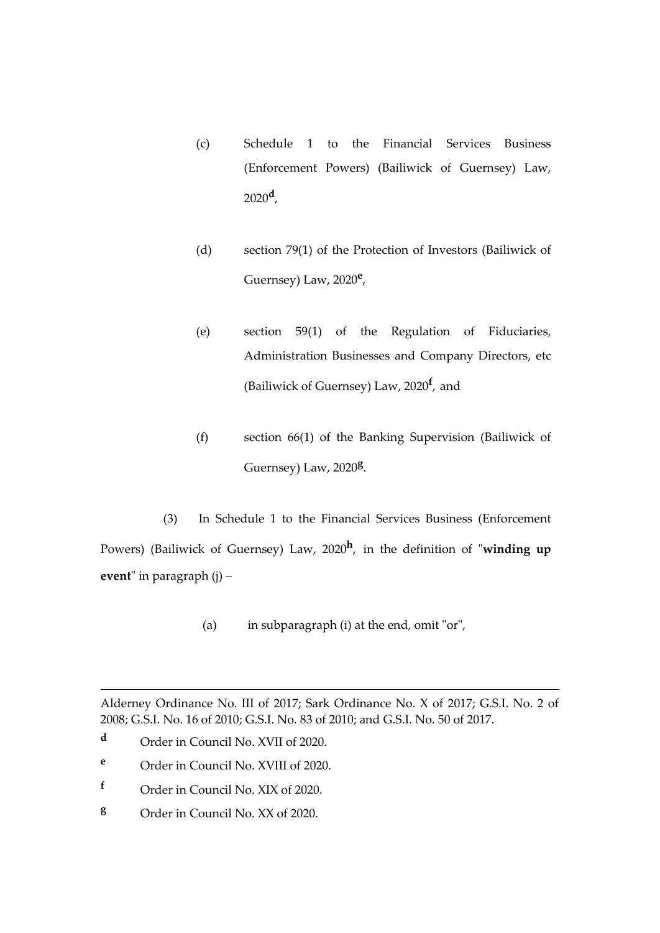- (c) Schedule 1 to the Financial Services Business (Enforcement Powers) (Bailiwick of Guernsey) Law, 2020**<sup>d</sup>** ,
- (d) section 79(1) of the Protection of Investors (Bailiwick of Guernsey) Law, 2020**<sup>e</sup>** ,
- (e) section 59(1) of the Regulation of Fiduciaries, Administration Businesses and Company Directors, etc (Bailiwick of Guernsey) Law, 2020**<sup>f</sup>** , and
- (f) section 66(1) of the Banking Supervision (Bailiwick of Guernsey) Law, 2020**<sup>g</sup>** .

(3) In Schedule 1 to the Financial Services Business (Enforcement Powers) (Bailiwick of Guernsey) Law, 2020**<sup>h</sup>** , in the definition of "**winding up event**" in paragraph (j) –

(a) in subparagraph (i) at the end, omit "or",

Alderney Ordinance No. III of 2017; Sark Ordinance No. X of 2017; G.S.I. No. 2 of 2008; G.S.I. No. 16 of 2010; G.S.I. No. 83 of 2010; and G.S.I. No. 50 of 2017.

- **<sup>d</sup>** Order in Council No. XVII of 2020.
- **<sup>e</sup>** Order in Council No. XVIII of 2020.
- **<sup>f</sup>** Order in Council No. XIX of 2020.
- **<sup>g</sup>** Order in Council No. XX of 2020.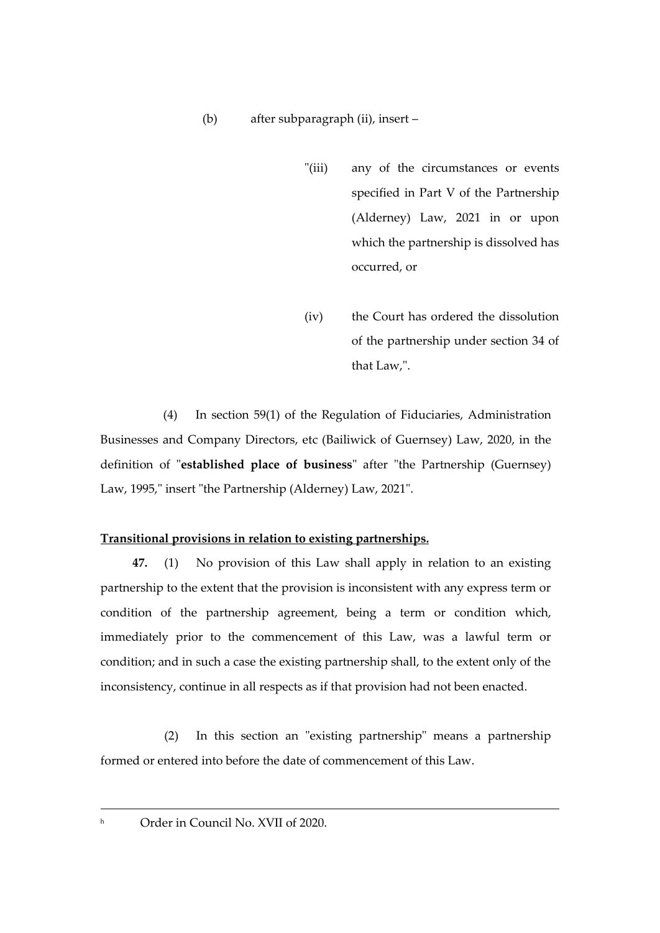- "(iii) any of the circumstances or events specified in Part V of the Partnership (Alderney) Law, 2021 in or upon which the partnership is dissolved has occurred, or
- (iv) the Court has ordered the dissolution of the partnership under section 34 of that Law,".

(4) In section 59(1) of the Regulation of Fiduciaries, Administration Businesses and Company Directors, etc (Bailiwick of Guernsey) Law, 2020, in the definition of "**established place of business**" after "the Partnership (Guernsey) Law, 1995," insert "the Partnership (Alderney) Law, 2021".

# **Transitional provisions in relation to existing partnerships.**

**47.** (1) No provision of this Law shall apply in relation to an existing partnership to the extent that the provision is inconsistent with any express term or condition of the partnership agreement, being a term or condition which, immediately prior to the commencement of this Law, was a lawful term or condition; and in such a case the existing partnership shall, to the extent only of the inconsistency, continue in all respects as if that provision had not been enacted.

(2) In this section an "existing partnership" means a partnership formed or entered into before the date of commencement of this Law.

h Order in Council No. XVII of 2020.